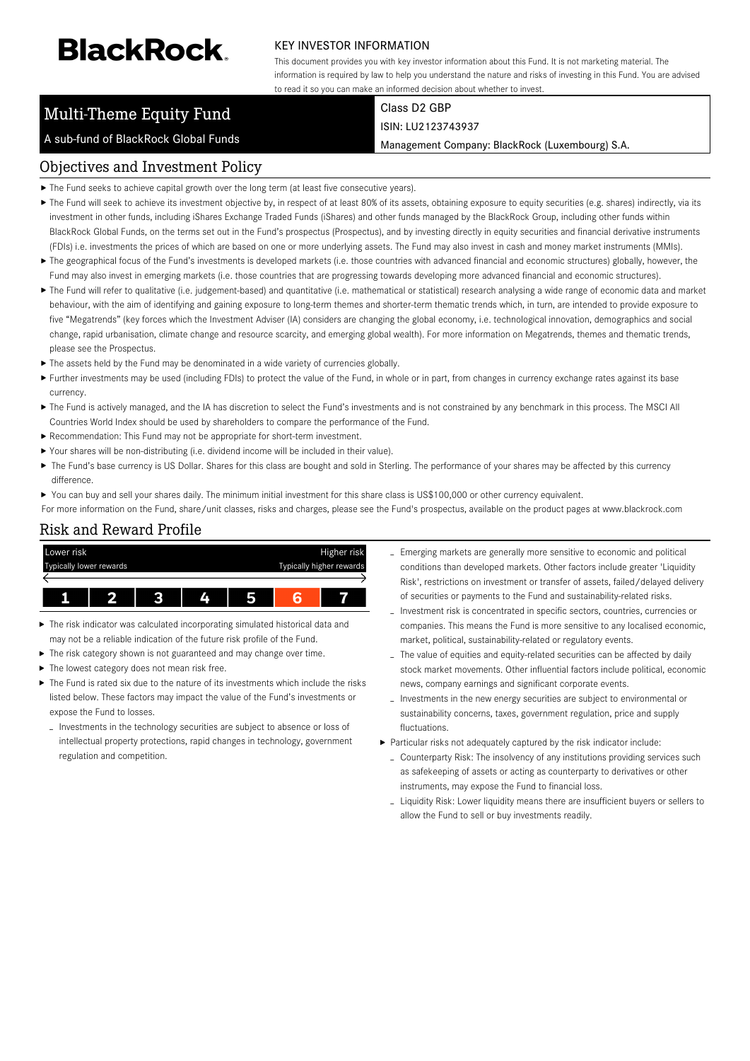# **BlackRock**

#### KEY INVESTOR INFORMATION

This document provides you with key investor information about this Fund. It is not marketing material. The information is required by law to help you understand the nature and risks of investing in this Fund. You are advised to read it so you can make an informed decision about whether to invest.

# Multi-Theme Equity Fund

A sub-fund of BlackRock Global Funds

Class D2 GBP ISIN: LU2123743937

Management Company: BlackRock (Luxembourg) S.A.

## Objectives and Investment Policy

- The Fund seeks to achieve capital growth over the long term (at least five consecutive years).
- ▶ The Fund will seek to achieve its investment objective by, in respect of at least 80% of its assets, obtaining exposure to equity securities (e.g. shares) indirectly, via its investment in other funds, including iShares Exchange Traded Funds (iShares) and other funds managed by the BlackRock Group, including other funds within BlackRock Global Funds, on the terms set out in the Fund's prospectus (Prospectus), and by investing directly in equity securities and financial derivative instruments (FDIs) i.e. investments the prices of which are based on one or more underlying assets. The Fund may also invest in cash and money market instruments (MMIs).
- ▶ The geographical focus of the Fund's investments is developed markets (i.e. those countries with advanced financial and economic structures) globally, however, the Fund may also invest in emerging markets (i.e. those countries that are progressing towards developing more advanced financial and economic structures).
- ▶ The Fund will refer to qualitative (i.e. judgement-based) and quantitative (i.e. mathematical or statistical) research analysing a wide range of economic data and market behaviour, with the aim of identifying and gaining exposure to long-term themes and shorter-term thematic trends which, in turn, are intended to provide exposure to five "Megatrends" (key forces which the Investment Adviser (IA) considers are changing the global economy, i.e. technological innovation, demographics and social change, rapid urbanisation, climate change and resource scarcity, and emerging global wealth). For more information on Megatrends, themes and thematic trends, please see the Prospectus.
- $\blacktriangleright$  The assets held by the Fund may be denominated in a wide variety of currencies globally.
- Further investments may be used (including FDIs) to protect the value of the Fund, in whole or in part, from changes in currency exchange rates against its base currency.
- The Fund is actively managed, and the IA has discretion to select the Fund's investments and is not constrained by any benchmark in this process. The MSCI All Countries World Index should be used by shareholders to compare the performance of the Fund.
- Recommendation: This Fund may not be appropriate for short-term investment.
- Your shares will be non-distributing (i.e. dividend income will be included in their value).
- ▶ The Fund's base currency is US Dollar. Shares for this class are bought and sold in Sterling. The performance of your shares may be affected by this currency difference.
- ▶ You can buy and sell your shares daily. The minimum initial investment for this share class is US\$100,000 or other currency equivalent.
- For more information on the Fund, share/unit classes, risks and charges, please see the Fund's prospectus, available on the product pages at www.blackrock.com

#### Risk and Reward Profile



- ь The risk indicator was calculated incorporating simulated historical data and may not be a reliable indication of the future risk profile of the Fund.
- ь The risk category shown is not guaranteed and may change over time.
- The lowest category does not mean risk free.
- The Fund is rated six due to the nature of its investments which include the risks listed below. These factors may impact the value of the Fund's investments or expose the Fund to losses.
	- Investments in the technology securities are subject to absence or loss of intellectual property protections, rapid changes in technology, government regulation and competition.
- Emerging markets are generally more sensitive to economic and political conditions than developed markets. Other factors include greater 'Liquidity Risk', restrictions on investment or transfer of assets, failed/delayed delivery of securities or payments to the Fund and sustainability-related risks.
- Investment risk is concentrated in specific sectors, countries, currencies or companies. This means the Fund is more sensitive to any localised economic, market, political, sustainability-related or regulatory events.
- The value of equities and equity-related securities can be affected by daily stock market movements. Other influential factors include political, economic news, company earnings and significant corporate events.
- Investments in the new energy securities are subject to environmental or sustainability concerns, taxes, government regulation, price and supply fluctuations.
- Particular risks not adequately captured by the risk indicator include:
- Counterparty Risk: The insolvency of any institutions providing services such as safekeeping of assets or acting as counterparty to derivatives or other instruments, may expose the Fund to financial loss.
- Liquidity Risk: Lower liquidity means there are insufficient buyers or sellers to allow the Fund to sell or buy investments readily.